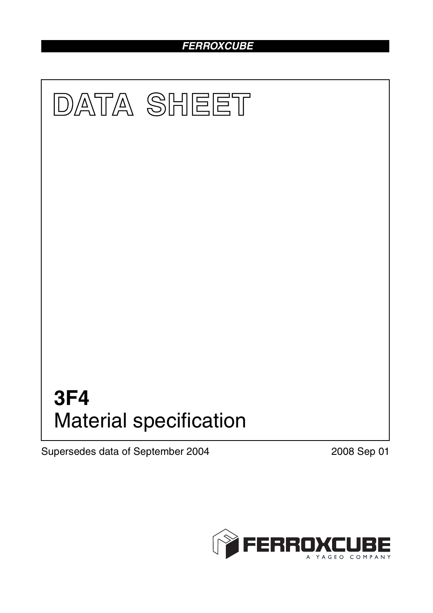# *FERROXCUBE*



Supersedes data of September 2004 2008 Sep 01

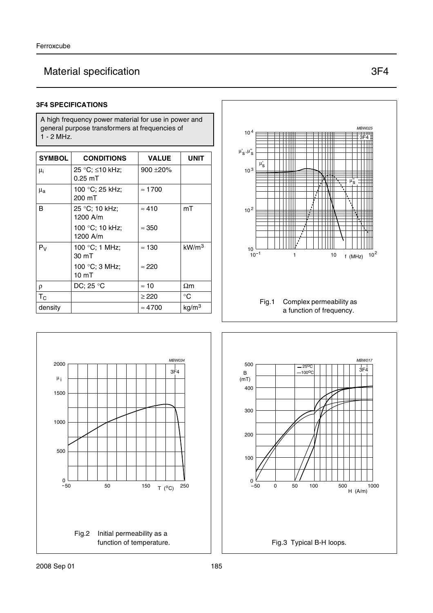# Material specification 3F4

### **3F4 SPECIFICATIONS**

A high frequency power material for use in power and general purpose transformers at frequencies of 1 - 2 MHz.

| <b>SYMBOL</b>      | <b>CONDITIONS</b>                  | <b>VALUE</b>   | UNIT              |
|--------------------|------------------------------------|----------------|-------------------|
| μi                 | 25 °C; ≤10 kHz;<br>$0.25$ mT       | $900 + 20\%$   |                   |
| $\mu_{\mathbf{a}}$ | 100 °C; 25 kHz;<br>200 mT          | $\approx 1700$ |                   |
| B                  | 25 °C; 10 kHz;<br>1200 A/m         | $\approx 410$  | mT                |
|                    | 100 °C; 10 kHz;<br>1200 A/m        | $\approx 350$  |                   |
| $P_V$              | 100 °C; 1 MHz;<br>$30 \text{ mT}$  | $\approx$ 130  | kW/m <sup>3</sup> |
|                    | 100 °C; 3 MHz;<br>10 <sub>mT</sub> | $\approx 220$  |                   |
| ρ                  | DC; 25 $\degree$ C                 | $\approx$ 10   | $\Omega$ m        |
| $T_{\rm C}$        |                                    | $\geq$ 220     | °C                |
| density            |                                    | $\approx 4700$ | kg/m <sup>3</sup> |





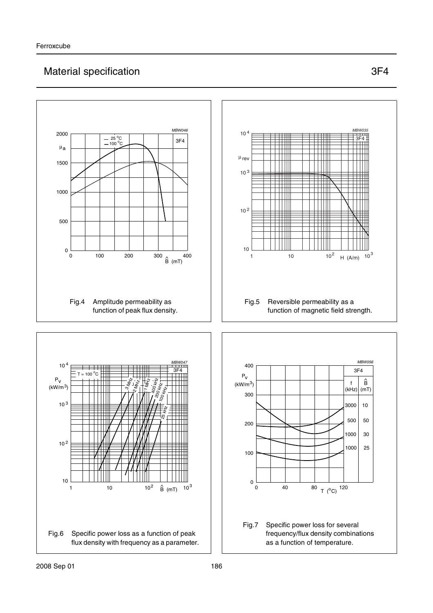# Material specification 3F4